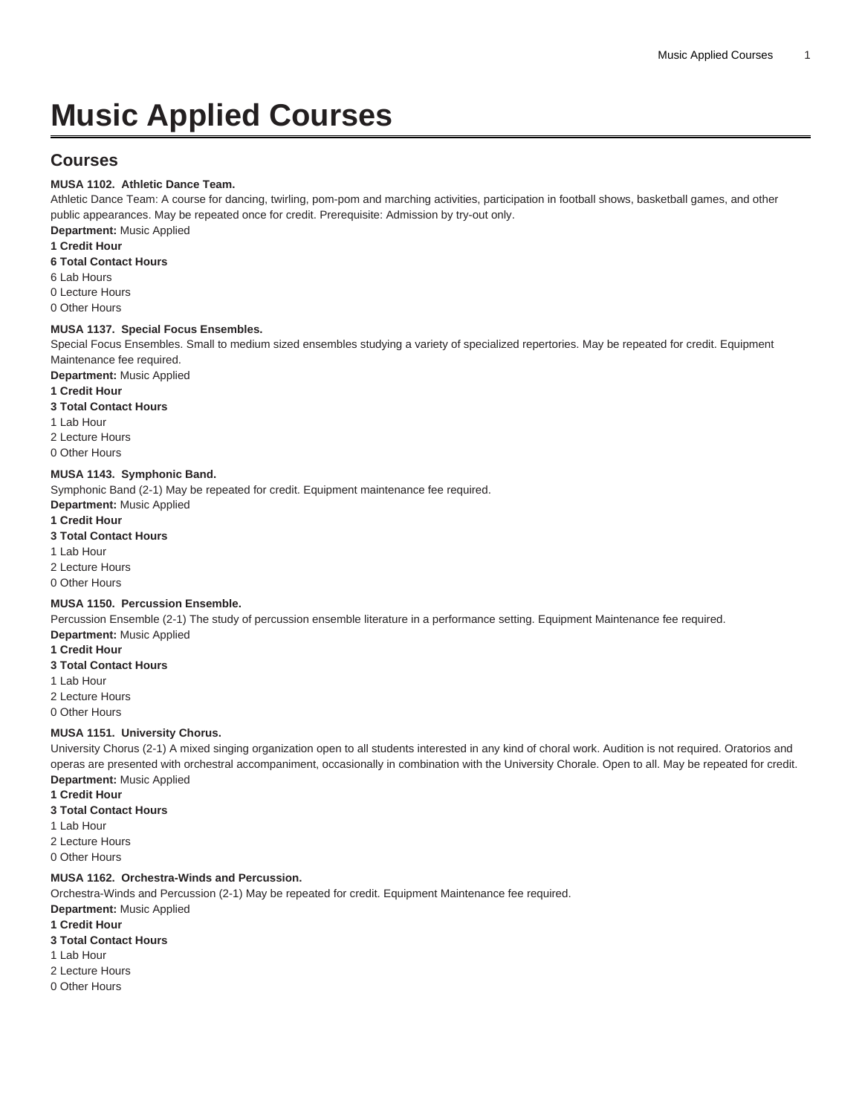# **Music Applied Courses**

# **Courses**

### **MUSA 1102. Athletic Dance Team.**

Athletic Dance Team: A course for dancing, twirling, pom-pom and marching activities, participation in football shows, basketball games, and other public appearances. May be repeated once for credit. Prerequisite: Admission by try-out only.

**Department:** Music Applied

**1 Credit Hour**

**6 Total Contact Hours**

6 Lab Hours

0 Lecture Hours 0 Other Hours

## **MUSA 1137. Special Focus Ensembles.**

Special Focus Ensembles. Small to medium sized ensembles studying a variety of specialized repertories. May be repeated for credit. Equipment Maintenance fee required.

**Department:** Music Applied

### **1 Credit Hour**

### **3 Total Contact Hours**

- 1 Lab Hour
- 2 Lecture Hours

0 Other Hours

### **MUSA 1143. Symphonic Band.**

Symphonic Band (2-1) May be repeated for credit. Equipment maintenance fee required.

**Department:** Music Applied

### **1 Credit Hour**

**3 Total Contact Hours**

1 Lab Hour

2 Lecture Hours

0 Other Hours

### **MUSA 1150. Percussion Ensemble.**

Percussion Ensemble (2-1) The study of percussion ensemble literature in a performance setting. Equipment Maintenance fee required.

- **Department:** Music Applied
- **1 Credit Hour 3 Total Contact Hours**
- 1 Lab Hour
- 2 Lecture Hours
- 0 Other Hours

### **MUSA 1151. University Chorus.**

University Chorus (2-1) A mixed singing organization open to all students interested in any kind of choral work. Audition is not required. Oratorios and operas are presented with orchestral accompaniment, occasionally in combination with the University Chorale. Open to all. May be repeated for credit. **Department:** Music Applied

- **1 Credit Hour**
- **3 Total Contact Hours**
- 1 Lab Hour

2 Lecture Hours

0 Other Hours

### **MUSA 1162. Orchestra-Winds and Percussion.**

Orchestra-Winds and Percussion (2-1) May be repeated for credit. Equipment Maintenance fee required. **Department:** Music Applied

### **1 Credit Hour**

- **3 Total Contact Hours**
- 1 Lab Hour
- 2 Lecture Hours
- 0 Other Hours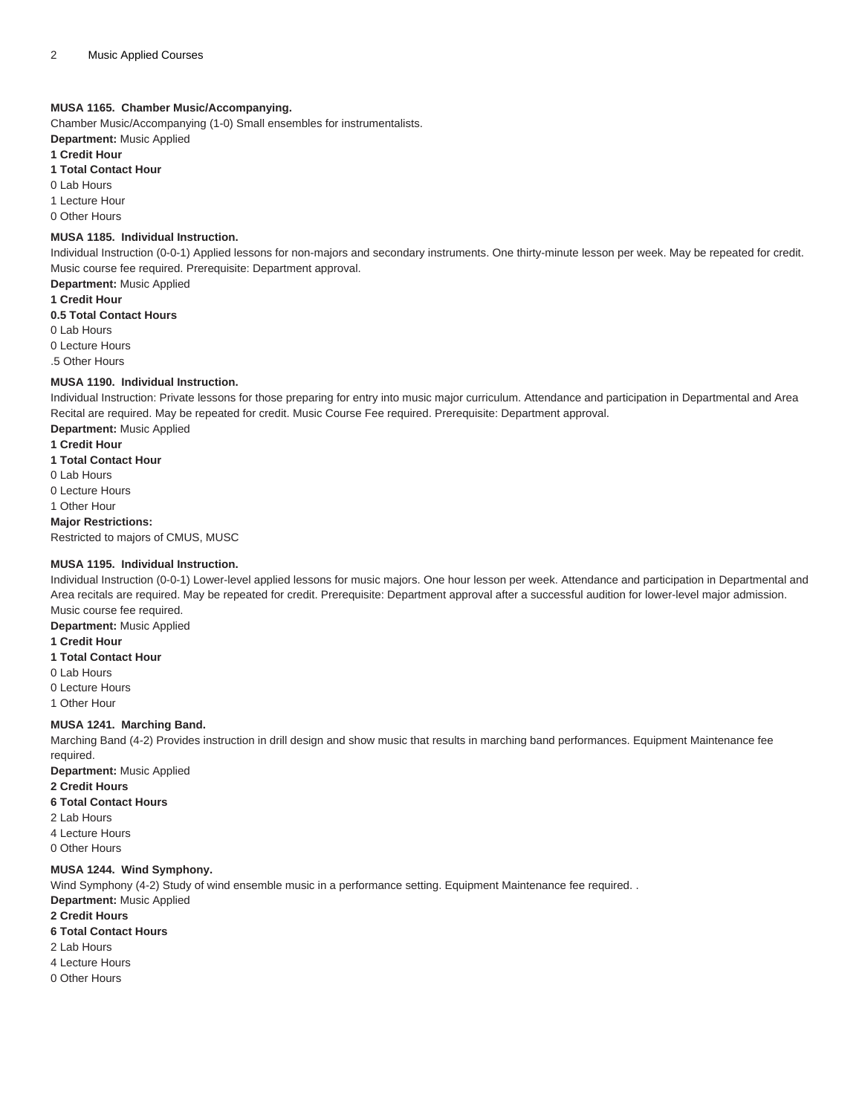### **MUSA 1165. Chamber Music/Accompanying.**

Chamber Music/Accompanying (1-0) Small ensembles for instrumentalists. **Department:** Music Applied

### **1 Credit Hour**

### **1 Total Contact Hour**

0 Lab Hours

1 Lecture Hour

0 Other Hours

#### **MUSA 1185. Individual Instruction.**

Individual Instruction (0-0-1) Applied lessons for non-majors and secondary instruments. One thirty-minute lesson per week. May be repeated for credit. Music course fee required. Prerequisite: Department approval.

**Department:** Music Applied **1 Credit Hour 0.5 Total Contact Hours**

0 Lab Hours

0 Lecture Hours

.5 Other Hours

### **MUSA 1190. Individual Instruction.**

Individual Instruction: Private lessons for those preparing for entry into music major curriculum. Attendance and participation in Departmental and Area Recital are required. May be repeated for credit. Music Course Fee required. Prerequisite: Department approval.

**Department:** Music Applied

**1 Credit Hour**

**1 Total Contact Hour**

0 Lab Hours

0 Lecture Hours

1 Other Hour

#### **Major Restrictions:**

Restricted to majors of CMUS, MUSC

### **MUSA 1195. Individual Instruction.**

Individual Instruction (0-0-1) Lower-level applied lessons for music majors. One hour lesson per week. Attendance and participation in Departmental and Area recitals are required. May be repeated for credit. Prerequisite: Department approval after a successful audition for lower-level major admission. Music course fee required.

**Department:** Music Applied

### **1 Credit Hour**

**1 Total Contact Hour**

0 Lab Hours

0 Lecture Hours

1 Other Hour

### **MUSA 1241. Marching Band.**

Marching Band (4-2) Provides instruction in drill design and show music that results in marching band performances. Equipment Maintenance fee required.

**Department:** Music Applied

**2 Credit Hours 6 Total Contact Hours**

2 Lab Hours

4 Lecture Hours

0 Other Hours

### **MUSA 1244. Wind Symphony.**

Wind Symphony (4-2) Study of wind ensemble music in a performance setting. Equipment Maintenance fee required. .

**Department:** Music Applied

**2 Credit Hours**

**6 Total Contact Hours**

2 Lab Hours

4 Lecture Hours

0 Other Hours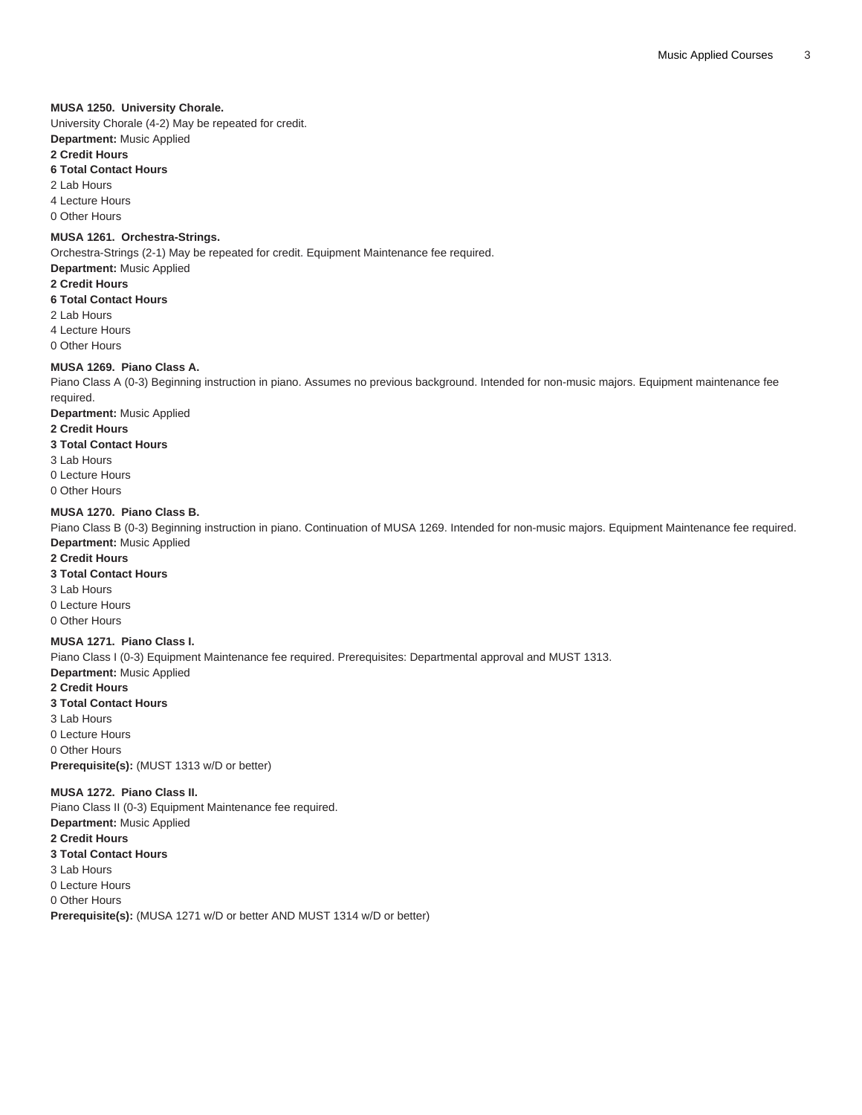### **MUSA 1250. University Chorale.**

University Chorale (4-2) May be repeated for credit. **Department:** Music Applied

### **2 Credit Hours**

### **6 Total Contact Hours**

2 Lab Hours

4 Lecture Hours 0 Other Hours

### **MUSA 1261. Orchestra-Strings.**

Orchestra-Strings (2-1) May be repeated for credit. Equipment Maintenance fee required. **Department:** Music Applied

**2 Credit Hours 6 Total Contact Hours** 2 Lab Hours

4 Lecture Hours

0 Other Hours

### **MUSA 1269. Piano Class A.**

Piano Class A (0-3) Beginning instruction in piano. Assumes no previous background. Intended for non-music majors. Equipment maintenance fee required.

### **Department:** Music Applied

**2 Credit Hours**

### **3 Total Contact Hours**

3 Lab Hours 0 Lecture Hours

0 Other Hours

### **MUSA 1270. Piano Class B.**

Piano Class B (0-3) Beginning instruction in piano. Continuation of [MUSA 1269.](/search/?P=MUSA%201269) Intended for non-music majors. Equipment Maintenance fee required. **Department:** Music Applied

### **2 Credit Hours**

**3 Total Contact Hours**

3 Lab Hours

0 Lecture Hours 0 Other Hours

### **MUSA 1271. Piano Class I.**

Piano Class I (0-3) Equipment Maintenance fee required. Prerequisites: Departmental approval and [MUST 1313.](/search/?P=MUST%201313)

**Department:** Music Applied **2 Credit Hours**

### **3 Total Contact Hours**

3 Lab Hours 0 Lecture Hours 0 Other Hours **Prerequisite(s):** ([MUST 1313](/search/?P=MUST%201313) w/D or better)

### **MUSA 1272. Piano Class II.**

Piano Class II (0-3) Equipment Maintenance fee required. **Department:** Music Applied **2 Credit Hours 3 Total Contact Hours** 3 Lab Hours 0 Lecture Hours 0 Other Hours **Prerequisite(s):** ([MUSA 1271](/search/?P=MUSA%201271) w/D or better AND [MUST 1314](/search/?P=MUST%201314) w/D or better)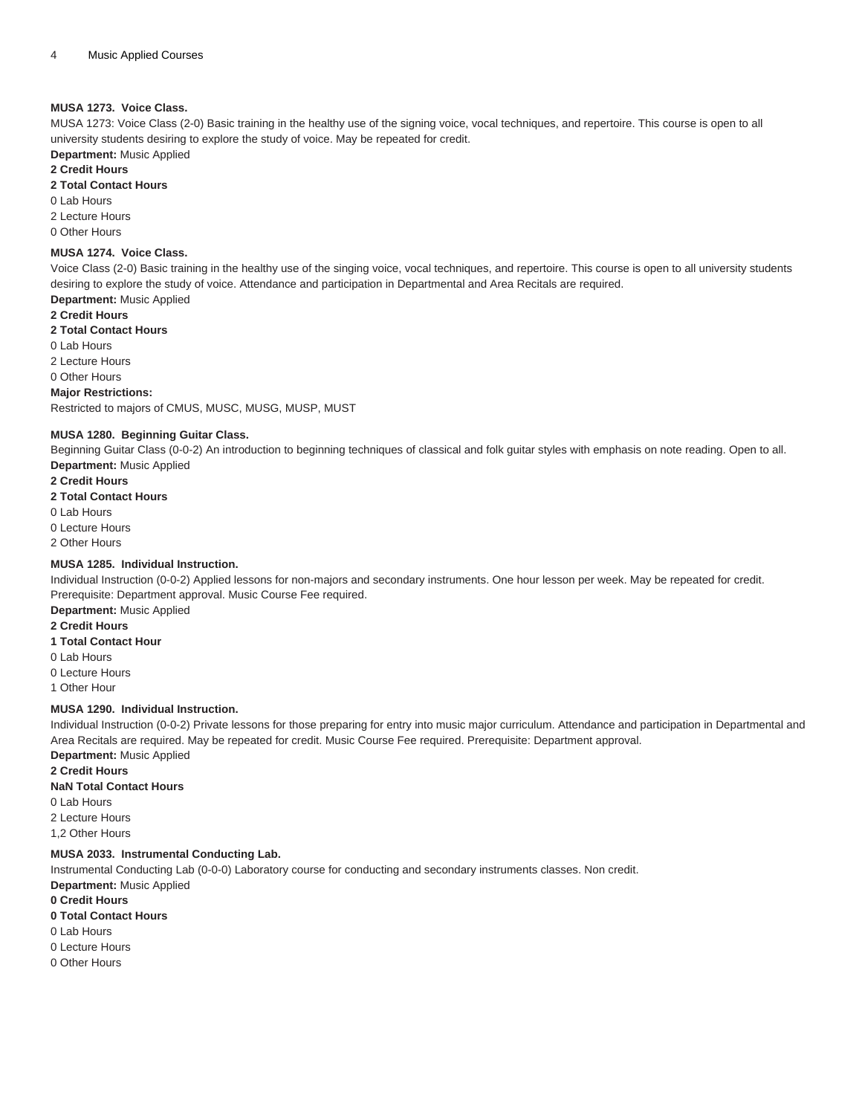### **MUSA 1273. Voice Class.**

[MUSA 1273](/search/?P=MUSA%201273): Voice Class (2-0) Basic training in the healthy use of the signing voice, vocal techniques, and repertoire. This course is open to all university students desiring to explore the study of voice. May be repeated for credit.

**Department:** Music Applied

### **2 Credit Hours**

### **2 Total Contact Hours**

- 0 Lab Hours
- 2 Lecture Hours
- 0 Other Hours

#### **MUSA 1274. Voice Class.**

Voice Class (2-0) Basic training in the healthy use of the singing voice, vocal techniques, and repertoire. This course is open to all university students desiring to explore the study of voice. Attendance and participation in Departmental and Area Recitals are required. **Department:** Music Applied

**2 Credit Hours 2 Total Contact Hours** 0 Lab Hours 2 Lecture Hours 0 Other Hours

# **Major Restrictions:**

Restricted to majors of CMUS, MUSC, MUSG, MUSP, MUST

### **MUSA 1280. Beginning Guitar Class.**

Beginning Guitar Class (0-0-2) An introduction to beginning techniques of classical and folk guitar styles with emphasis on note reading. Open to all. **Department:** Music Applied

### **2 Credit Hours**

**2 Total Contact Hours**

- 0 Lab Hours
- 0 Lecture Hours
- 2 Other Hours

### **MUSA 1285. Individual Instruction.**

Individual Instruction (0-0-2) Applied lessons for non-majors and secondary instruments. One hour lesson per week. May be repeated for credit. Prerequisite: Department approval. Music Course Fee required.

**Department:** Music Applied

### **2 Credit Hours**

- **1 Total Contact Hour**
- 0 Lab Hours
- 0 Lecture Hours
- 1 Other Hour

### **MUSA 1290. Individual Instruction.**

Individual Instruction (0-0-2) Private lessons for those preparing for entry into music major curriculum. Attendance and participation in Departmental and Area Recitals are required. May be repeated for credit. Music Course Fee required. Prerequisite: Department approval. **Department:** Music Applied

**2 Credit Hours**

**NaN Total Contact Hours**

0 Lab Hours

2 Lecture Hours

1,2 Other Hours

### **MUSA 2033. Instrumental Conducting Lab.**

Instrumental Conducting Lab (0-0-0) Laboratory course for conducting and secondary instruments classes. Non credit. **Department:** Music Applied

**0 Credit Hours**

- **0 Total Contact Hours**
- 0 Lab Hours
- 0 Lecture Hours
- 0 Other Hours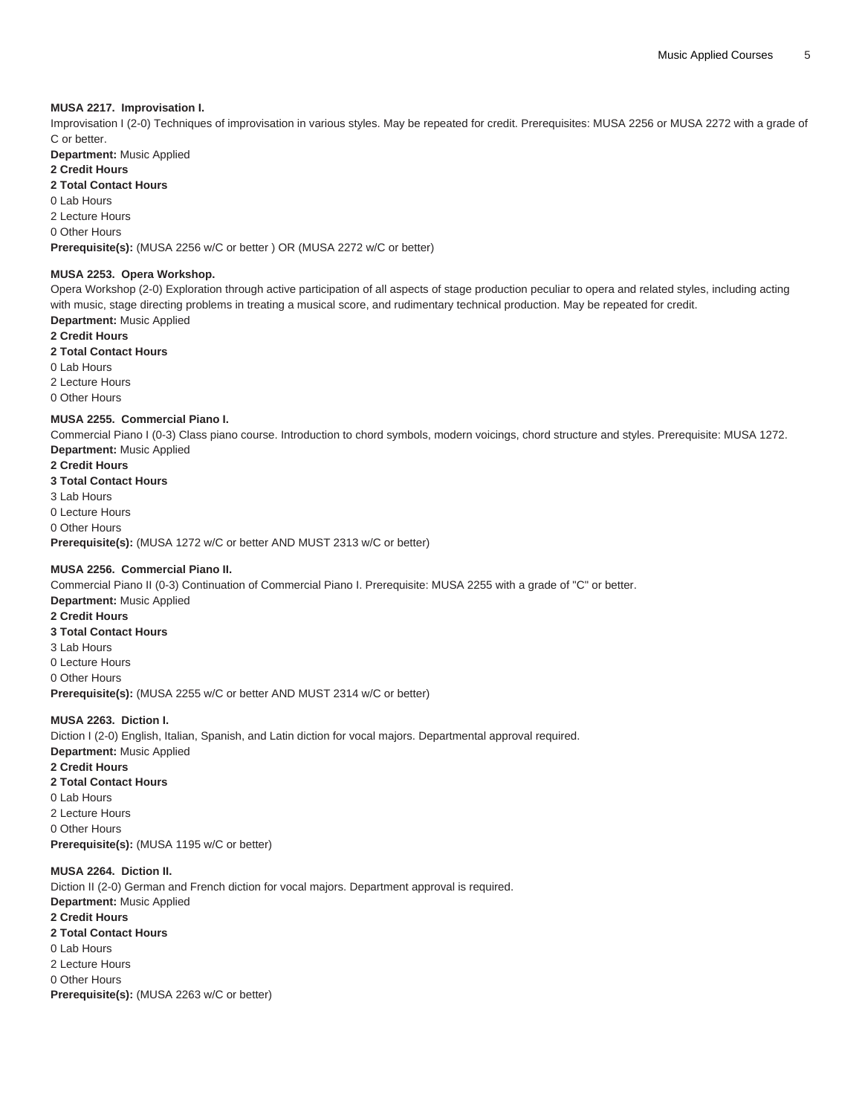### **MUSA 2217. Improvisation I.**

Improvisation I (2-0) Techniques of improvisation in various styles. May be repeated for credit. Prerequisites: [MUSA 2256](/search/?P=MUSA%202256) or [MUSA 2272](/search/?P=MUSA%202272) with a grade of C or better.

**Department:** Music Applied

### **2 Credit Hours**

**2 Total Contact Hours**

0 Lab Hours

2 Lecture Hours

0 Other Hours

**Prerequisite(s):** ([MUSA 2256](/search/?P=MUSA%202256) w/C or better ) OR ([MUSA 2272](/search/?P=MUSA%202272) w/C or better)

#### **MUSA 2253. Opera Workshop.**

Opera Workshop (2-0) Exploration through active participation of all aspects of stage production peculiar to opera and related styles, including acting with music, stage directing problems in treating a musical score, and rudimentary technical production. May be repeated for credit. **Department:** Music Applied

**2 Credit Hours**

**2 Total Contact Hours**

0 Lab Hours

2 Lecture Hours

0 Other Hours

#### **MUSA 2255. Commercial Piano I.**

Commercial Piano I (0-3) Class piano course. Introduction to chord symbols, modern voicings, chord structure and styles. Prerequisite: [MUSA 1272.](/search/?P=MUSA%201272) **Department:** Music Applied

**2 Credit Hours 3 Total Contact Hours** 3 Lab Hours 0 Lecture Hours 0 Other Hours **Prerequisite(s):** ([MUSA 1272](/search/?P=MUSA%201272) w/C or better AND [MUST 2313](/search/?P=MUST%202313) w/C or better)

### **MUSA 2256. Commercial Piano II.**

Commercial Piano II (0-3) Continuation of Commercial Piano I. Prerequisite: [MUSA 2255](/search/?P=MUSA%202255) with a grade of "C" or better. **Department:** Music Applied **2 Credit Hours 3 Total Contact Hours** 3 Lab Hours 0 Lecture Hours 0 Other Hours **Prerequisite(s):** ([MUSA 2255](/search/?P=MUSA%202255) w/C or better AND [MUST 2314](/search/?P=MUST%202314) w/C or better)

### **MUSA 2263. Diction I.**

Diction I (2-0) English, Italian, Spanish, and Latin diction for vocal majors. Departmental approval required. **Department:** Music Applied **2 Credit Hours 2 Total Contact Hours** 0 Lab Hours

2 Lecture Hours 0 Other Hours **Prerequisite(s):** ([MUSA 1195](/search/?P=MUSA%201195) w/C or better)

### **MUSA 2264. Diction II.**

Diction II (2-0) German and French diction for vocal majors. Department approval is required. **Department:** Music Applied **2 Credit Hours 2 Total Contact Hours** 0 Lab Hours 2 Lecture Hours 0 Other Hours **Prerequisite(s):** ([MUSA 2263](/search/?P=MUSA%202263) w/C or better)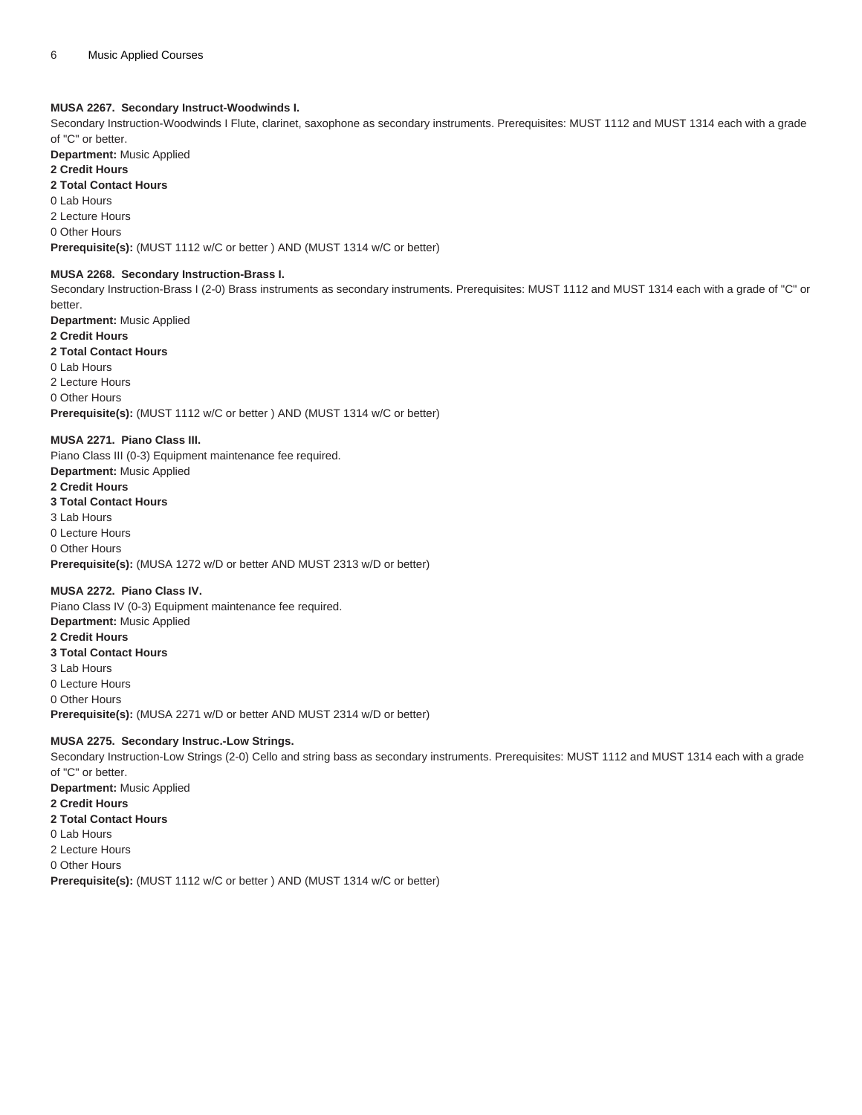### **MUSA 2267. Secondary Instruct-Woodwinds I.**

Secondary Instruction-Woodwinds I Flute, clarinet, saxophone as secondary instruments. Prerequisites: [MUST 1112](/search/?P=MUST%201112) and [MUST 1314](/search/?P=MUST%201314) each with a grade of "C" or better.

**Department:** Music Applied

### **2 Credit Hours**

### **2 Total Contact Hours**

0 Lab Hours

### 2 Lecture Hours

0 Other Hours

**Prerequisite(s):** ([MUST 1112](/search/?P=MUST%201112) w/C or better ) AND [\(MUST 1314](/search/?P=MUST%201314) w/C or better)

### **MUSA 2268. Secondary Instruction-Brass I.**

Secondary Instruction-Brass I (2-0) Brass instruments as secondary instruments. Prerequisites: [MUST 1112](/search/?P=MUST%201112) and [MUST 1314](/search/?P=MUST%201314) each with a grade of "C" or better.

**Department:** Music Applied

### **2 Credit Hours**

**2 Total Contact Hours**

# 0 Lab Hours

2 Lecture Hours

0 Other Hours

**Prerequisite(s):** ([MUST 1112](/search/?P=MUST%201112) w/C or better ) AND [\(MUST 1314](/search/?P=MUST%201314) w/C or better)

### **MUSA 2271. Piano Class III.**

Piano Class III (0-3) Equipment maintenance fee required. **Department:** Music Applied **2 Credit Hours 3 Total Contact Hours** 3 Lab Hours 0 Lecture Hours 0 Other Hours **Prerequisite(s):** ([MUSA 1272](/search/?P=MUSA%201272) w/D or better AND [MUST 2313](/search/?P=MUST%202313) w/D or better)

### **MUSA 2272. Piano Class IV.**

Piano Class IV (0-3) Equipment maintenance fee required. **Department:** Music Applied **2 Credit Hours 3 Total Contact Hours** 3 Lab Hours 0 Lecture Hours 0 Other Hours **Prerequisite(s):** ([MUSA 2271](/search/?P=MUSA%202271) w/D or better AND [MUST 2314](/search/?P=MUST%202314) w/D or better)

### **MUSA 2275. Secondary Instruc.-Low Strings.**

Secondary Instruction-Low Strings (2-0) Cello and string bass as secondary instruments. Prerequisites: [MUST 1112](/search/?P=MUST%201112) and [MUST 1314](/search/?P=MUST%201314) each with a grade of "C" or better.

**Department:** Music Applied

### **2 Credit Hours**

**2 Total Contact Hours** 0 Lab Hours

2 Lecture Hours 0 Other Hours

**Prerequisite(s):** ([MUST 1112](/search/?P=MUST%201112) w/C or better ) AND [\(MUST 1314](/search/?P=MUST%201314) w/C or better)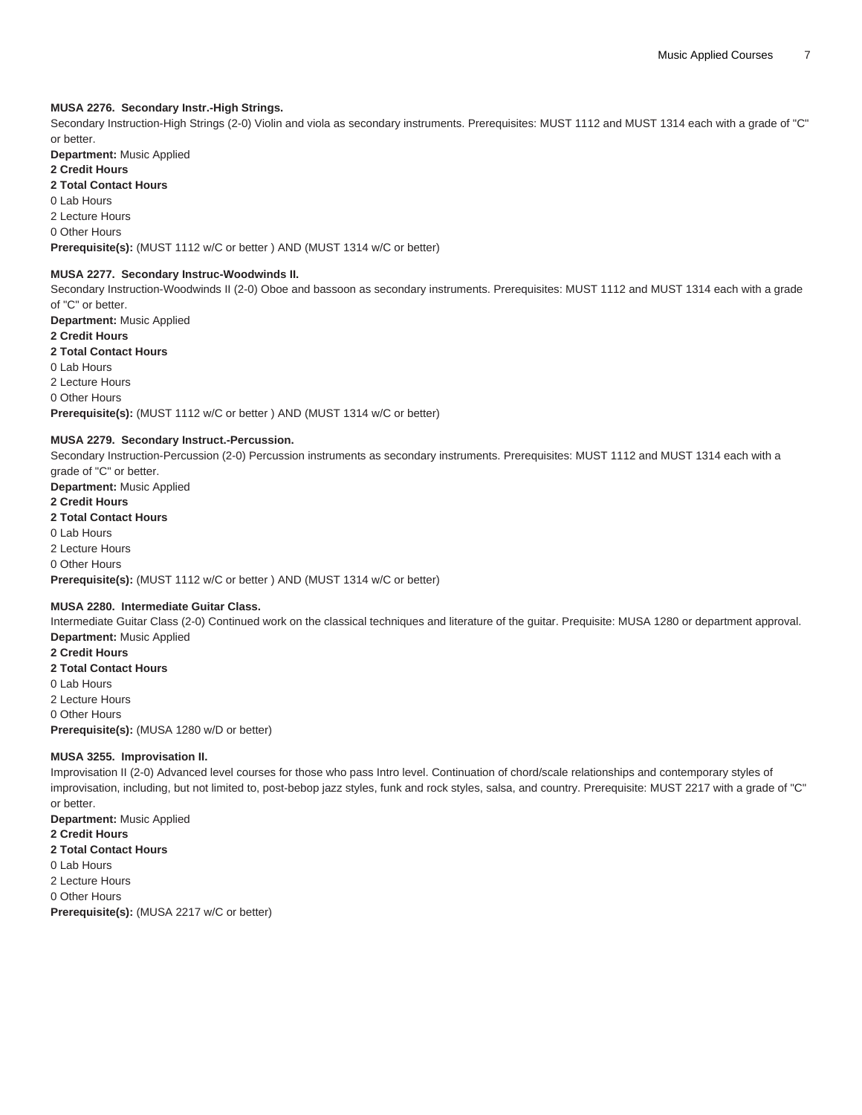### **MUSA 2276. Secondary Instr.-High Strings.**

Secondary Instruction-High Strings (2-0) Violin and viola as secondary instruments. Prerequisites: [MUST 1112](/search/?P=MUST%201112) and [MUST 1314](/search/?P=MUST%201314) each with a grade of "C" or better.

**Department:** Music Applied

### **2 Credit Hours**

### **2 Total Contact Hours**

0 Lab Hours

# 2 Lecture Hours

0 Other Hours

**Prerequisite(s):** ([MUST 1112](/search/?P=MUST%201112) w/C or better ) AND [\(MUST 1314](/search/?P=MUST%201314) w/C or better)

### **MUSA 2277. Secondary Instruc-Woodwinds II.**

Secondary Instruction-Woodwinds II (2-0) Oboe and bassoon as secondary instruments. Prerequisites: [MUST 1112](/search/?P=MUST%201112) and [MUST 1314](/search/?P=MUST%201314) each with a grade of "C" or better.

#### **Department:** Music Applied **2 Credit Hours**

### **2 Total Contact Hours**

0 Lab Hours 2 Lecture Hours 0 Other Hours

**Prerequisite(s):** ([MUST 1112](/search/?P=MUST%201112) w/C or better ) AND [\(MUST 1314](/search/?P=MUST%201314) w/C or better)

### **MUSA 2279. Secondary Instruct.-Percussion.**

Secondary Instruction-Percussion (2-0) Percussion instruments as secondary instruments. Prerequisites: [MUST 1112](/search/?P=MUST%201112) and [MUST 1314](/search/?P=MUST%201314) each with a grade of "C" or better. **Department:** Music Applied

**2 Credit Hours 2 Total Contact Hours** 0 Lab Hours 2 Lecture Hours 0 Other Hours **Prerequisite(s):** ([MUST 1112](/search/?P=MUST%201112) w/C or better ) AND [\(MUST 1314](/search/?P=MUST%201314) w/C or better)

### **MUSA 2280. Intermediate Guitar Class.**

Intermediate Guitar Class (2-0) Continued work on the classical techniques and literature of the guitar. Prequisite: [MUSA 1280](/search/?P=MUSA%201280) or department approval. **Department:** Music Applied

**2 Credit Hours 2 Total Contact Hours** 0 Lab Hours 2 Lecture Hours 0 Other Hours **Prerequisite(s):** ([MUSA 1280](/search/?P=MUSA%201280) w/D or better)

### **MUSA 3255. Improvisation II.**

Improvisation II (2-0) Advanced level courses for those who pass Intro level. Continuation of chord/scale relationships and contemporary styles of improvisation, including, but not limited to, post-bebop jazz styles, funk and rock styles, salsa, and country. Prerequisite: MUST 2217 with a grade of "C" or better.

**Department:** Music Applied **2 Credit Hours 2 Total Contact Hours** 0 Lab Hours 2 Lecture Hours 0 Other Hours **Prerequisite(s):** ([MUSA 2217](/search/?P=MUSA%202217) w/C or better)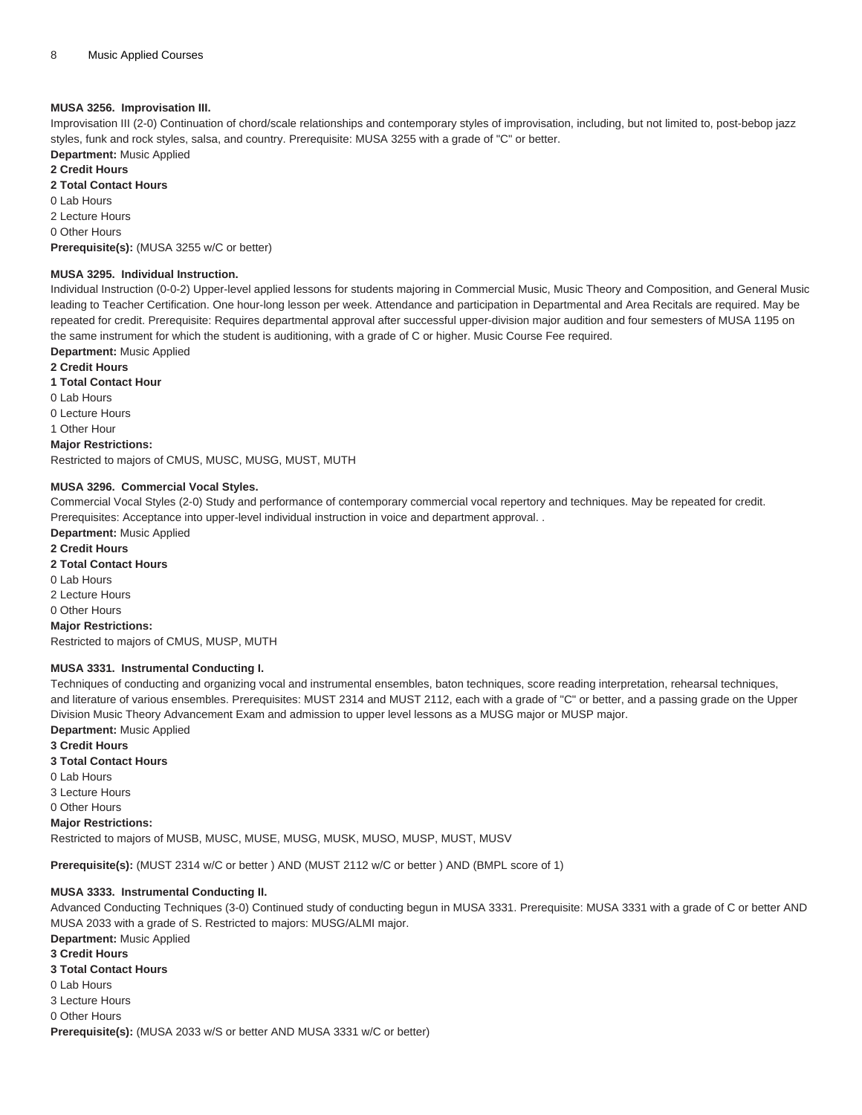### **MUSA 3256. Improvisation III.**

Improvisation III (2-0) Continuation of chord/scale relationships and contemporary styles of improvisation, including, but not limited to, post-bebop jazz styles, funk and rock styles, salsa, and country. Prerequisite: [MUSA 3255](/search/?P=MUSA%203255) with a grade of "C" or better.

**Department:** Music Applied **2 Credit Hours**

**2 Total Contact Hours**

0 Lab Hours

2 Lecture Hours

0 Other Hours

**Prerequisite(s):** ([MUSA 3255](/search/?P=MUSA%203255) w/C or better)

#### **MUSA 3295. Individual Instruction.**

Individual Instruction (0-0-2) Upper-level applied lessons for students majoring in Commercial Music, Music Theory and Composition, and General Music leading to Teacher Certification. One hour-long lesson per week. Attendance and participation in Departmental and Area Recitals are required. May be repeated for credit. Prerequisite: Requires departmental approval after successful upper-division major audition and four semesters of [MUSA 1195](/search/?P=MUSA%201195) on the same instrument for which the student is auditioning, with a grade of C or higher. Music Course Fee required.

**Department:** Music Applied

**2 Credit Hours**

**1 Total Contact Hour**

0 Lab Hours

0 Lecture Hours

1 Other Hour

**Major Restrictions:**

Restricted to majors of CMUS, MUSC, MUSG, MUST, MUTH

#### **MUSA 3296. Commercial Vocal Styles.**

Commercial Vocal Styles (2-0) Study and performance of contemporary commercial vocal repertory and techniques. May be repeated for credit. Prerequisites: Acceptance into upper-level individual instruction in voice and department approval. .

**Department:** Music Applied

**2 Credit Hours**

**2 Total Contact Hours**

0 Lab Hours

2 Lecture Hours 0 Other Hours

**Major Restrictions:** Restricted to majors of CMUS, MUSP, MUTH

#### **MUSA 3331. Instrumental Conducting I.**

Techniques of conducting and organizing vocal and instrumental ensembles, baton techniques, score reading interpretation, rehearsal techniques, and literature of various ensembles. Prerequisites: [MUST 2314](/search/?P=MUST%202314) and [MUST 2112](/search/?P=MUST%202112), each with a grade of "C" or better, and a passing grade on the Upper Division Music Theory Advancement Exam and admission to upper level lessons as a MUSG major or MUSP major. **Department:** Music Applied

**3 Credit Hours**

**3 Total Contact Hours**

0 Lab Hours

3 Lecture Hours

0 Other Hours

**Major Restrictions:**

Restricted to majors of MUSB, MUSC, MUSE, MUSG, MUSK, MUSO, MUSP, MUST, MUSV

**Prerequisite(s):** ([MUST 2314](/search/?P=MUST%202314) w/C or better ) AND [\(MUST 2112](/search/?P=MUST%202112) w/C or better ) AND (BMPL score of 1)

### **MUSA 3333. Instrumental Conducting II.**

Advanced Conducting Techniques (3-0) Continued study of conducting begun in [MUSA 3331](/search/?P=MUSA%203331). Prerequisite: [MUSA 3331](/search/?P=MUSA%203331) with a grade of C or better AND [MUSA 2033](/search/?P=MUSA%202033) with a grade of S. Restricted to majors: MUSG/ALMI major.

**Department:** Music Applied **3 Credit Hours 3 Total Contact Hours** 0 Lab Hours 3 Lecture Hours 0 Other Hours **Prerequisite(s):** ([MUSA 2033](/search/?P=MUSA%202033) w/S or better AND [MUSA 3331](/search/?P=MUSA%203331) w/C or better)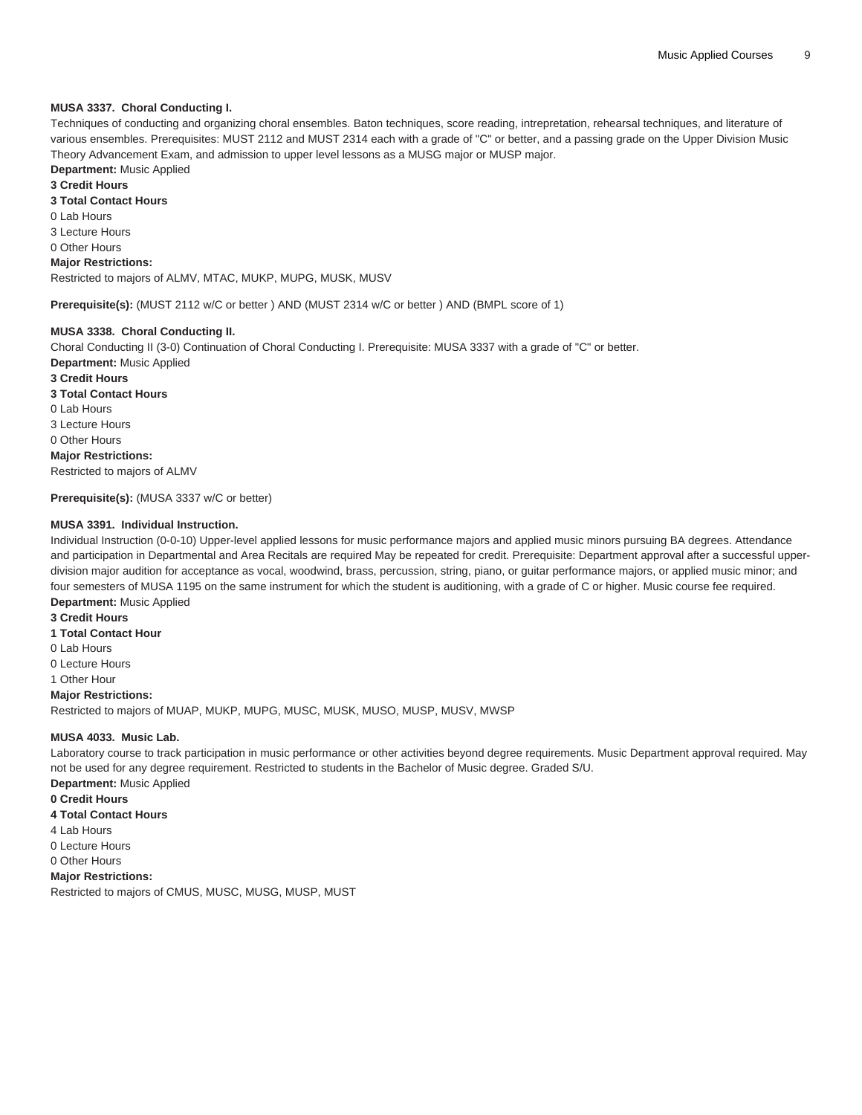### **MUSA 3337. Choral Conducting I.**

Techniques of conducting and organizing choral ensembles. Baton techniques, score reading, intrepretation, rehearsal techniques, and literature of various ensembles. Prerequisites: [MUST 2112](/search/?P=MUST%202112) and [MUST 2314](/search/?P=MUST%202314) each with a grade of "C" or better, and a passing grade on the Upper Division Music Theory Advancement Exam, and admission to upper level lessons as a MUSG major or MUSP major.

### **Department:** Music Applied

**3 Credit Hours**

### **3 Total Contact Hours**

0 Lab Hours

- 3 Lecture Hours
- 0 Other Hours

### **Major Restrictions:**

Restricted to majors of ALMV, MTAC, MUKP, MUPG, MUSK, MUSV

**Prerequisite(s):** ([MUST 2112](/search/?P=MUST%202112) w/C or better ) AND [\(MUST 2314](/search/?P=MUST%202314) w/C or better ) AND (BMPL score of 1)

### **MUSA 3338. Choral Conducting II.**

Choral Conducting II (3-0) Continuation of Choral Conducting I. Prerequisite: [MUSA 3337](/search/?P=MUSA%203337) with a grade of "C" or better. **Department:** Music Applied

**3 Credit Hours 3 Total Contact Hours** 0 Lab Hours 3 Lecture Hours 0 Other Hours **Major Restrictions:** Restricted to majors of ALMV

#### **Prerequisite(s):** ([MUSA 3337](/search/?P=MUSA%203337) w/C or better)

### **MUSA 3391. Individual Instruction.**

Individual Instruction (0-0-10) Upper-level applied lessons for music performance majors and applied music minors pursuing BA degrees. Attendance and participation in Departmental and Area Recitals are required May be repeated for credit. Prerequisite: Department approval after a successful upperdivision major audition for acceptance as vocal, woodwind, brass, percussion, string, piano, or guitar performance majors, or applied music minor; and four semesters of [MUSA 1195](/search/?P=MUSA%201195) on the same instrument for which the student is auditioning, with a grade of C or higher. Music course fee required. **Department:** Music Applied

#### **3 Credit Hours**

**1 Total Contact Hour**

0 Lab Hours

0 Lecture Hours

1 Other Hour

#### **Major Restrictions:**

Restricted to majors of MUAP, MUKP, MUPG, MUSC, MUSK, MUSO, MUSP, MUSV, MWSP

#### **MUSA 4033. Music Lab.**

Laboratory course to track participation in music performance or other activities beyond degree requirements. Music Department approval required. May not be used for any degree requirement. Restricted to students in the Bachelor of Music degree. Graded S/U.

**Department:** Music Applied

- **0 Credit Hours 4 Total Contact Hours**
- 4 Lab Hours
- 0 Lecture Hours
- 0 Other Hours

**Major Restrictions:**

Restricted to majors of CMUS, MUSC, MUSG, MUSP, MUST